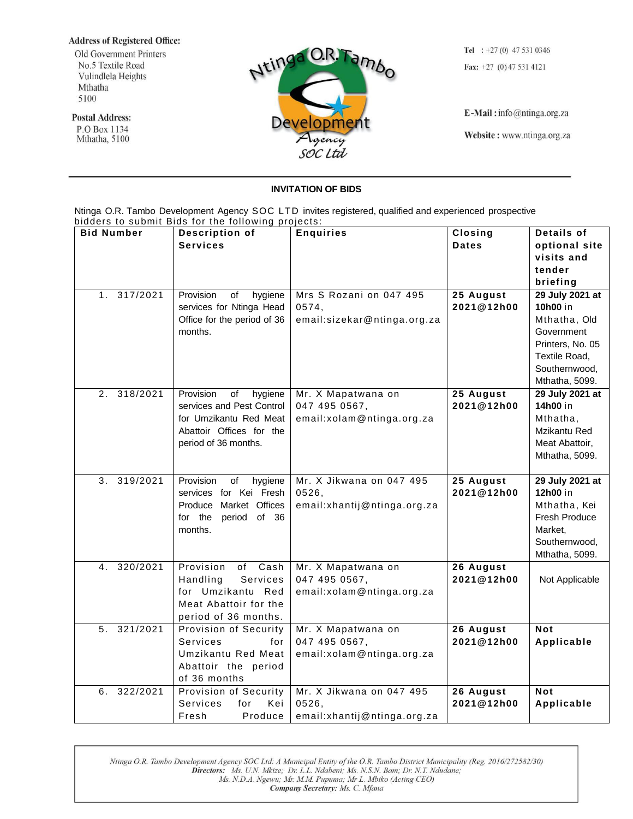## **Address of Registered Office:**

Old Government Printers No.5 Textile Road Vulindlela Heights Mthatha 5100

**Postal Address:** P.O Box 1134 Mthatha, 5100



Tel :  $+27(0)$  47 531 0346 Fax:  $+27$  (0) 47 531 4121

E-Mail: info@ntinga.org.za

Website: www.ntinga.org.za

## **INVITATION OF BIDS**

Ntinga O.R. Tambo Development Agency SOC LTD invites registered, qualified and experienced prospective bidders to submit Bids for the following projects:

| <b>Bid Number</b>          | Description of                                  | <b>Enquiries</b>             | Closing                 | Details of       |
|----------------------------|-------------------------------------------------|------------------------------|-------------------------|------------------|
|                            | <b>Services</b>                                 |                              | <b>Dates</b>            | optional site    |
|                            |                                                 |                              |                         | visits and       |
|                            |                                                 |                              |                         | tender           |
|                            |                                                 |                              |                         | briefing         |
| 317/2021<br>1 <sub>1</sub> | Provision<br>of<br>hygiene                      | Mrs S Rozani on 047 495      | 25 August               | 29 July 2021 at  |
|                            | services for Ntinga Head                        | 0574,                        | 2021@12h00              | 10h00 in         |
|                            | Office for the period of 36                     | email:sizekar@ntinga.org.za  |                         | Mthatha, Old     |
|                            | months.                                         |                              |                         | Government       |
|                            |                                                 |                              |                         | Printers, No. 05 |
|                            |                                                 |                              |                         | Textile Road,    |
|                            |                                                 |                              |                         | Southernwood,    |
|                            |                                                 |                              |                         | Mthatha, 5099.   |
| 2. 318/2021                | Provision<br>hygiene<br>of                      | Mr. X Mapatwana on           | 25 August               | 29 July 2021 at  |
|                            | services and Pest Control                       | 047 495 0567,                | 2021@12h00              | 14h00 in         |
|                            | for Umzikantu Red Meat                          | email:xolam@ntinga.org.za    |                         | Mthatha,         |
|                            | Abattoir Offices for the                        |                              |                         | Mzikantu Red     |
|                            | period of 36 months.                            |                              |                         | Meat Abattoir,   |
|                            |                                                 |                              |                         | Mthatha, 5099.   |
|                            |                                                 |                              |                         |                  |
|                            |                                                 |                              |                         |                  |
| 319/2021<br>3 <sub>1</sub> | Provision<br>of<br>hygiene                      | Mr. X Jikwana on 047 495     | 25 August               | 29 July 2021 at  |
|                            | services for Kei Fresh                          | 0526,                        | 2021@12h00              | 12h00 in         |
|                            | Produce Market Offices                          | email: xhantij@ntinga.org.za |                         | Mthatha, Kei     |
|                            | for the<br>period of 36                         |                              |                         | Fresh Produce    |
|                            | months.                                         |                              |                         | Market,          |
|                            |                                                 |                              |                         | Southernwood,    |
|                            |                                                 |                              |                         | Mthatha, 5099.   |
| 4. 320/2021                | Provision<br>of Cash                            | Mr. X Mapatwana on           | 26 August               |                  |
|                            | Services<br>Handling                            | 047 495 0567,                | 2021@12h00              | Not Applicable   |
|                            | for Umzikantu Red                               | email:xolam@ntinga.org.za    |                         |                  |
|                            | Meat Abattoir for the                           |                              |                         |                  |
|                            | period of 36 months.                            |                              |                         |                  |
| 321/2021<br>5.             | Provision of Security                           | Mr. X Mapatwana on           | 26 August               | <b>Not</b>       |
|                            | Services<br>for                                 | 047 495 0567,                | 2021@12h00              | Applicable       |
|                            | Umzikantu Red Meat                              | email:xolam@ntinga.org.za    |                         |                  |
|                            | Abattoir the period<br>of 36 months             |                              |                         |                  |
| 322/2021<br>6.             |                                                 | Mr. X Jikwana on 047 495     |                         | <b>Not</b>       |
|                            | Provision of Security<br>Services<br>Kei<br>for | 0526,                        | 26 August<br>2021@12h00 | Applicable       |

Ntinga O.R. Tambo Development Agency SOC Ltd: A Municipal Entity of the O.R. Tambo District Municipality (Reg. 2016/272582/30) Directors: Ms. U.N. Mkize; Dr. L.L. Ndabeni; Ms. N.S.N. Bam; Dr. N.T. Ndudane; Ms. N.D.A. Ngewu; Mr. M.M. Pupuma; Mr L. Mbiko (Acting CEO) Company Secretary: Ms. C. Mfana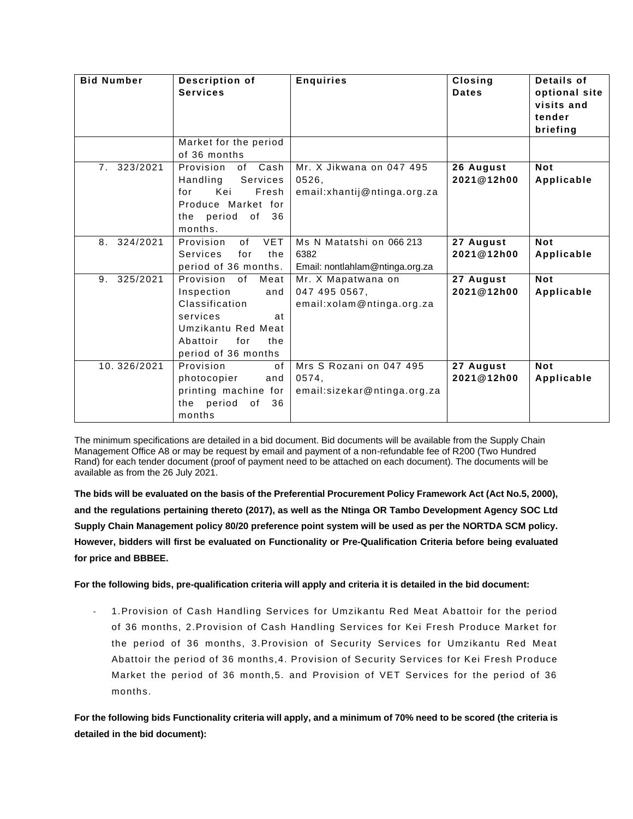| <b>Bid Number</b> | Description of<br><b>Services</b>                                                                                                                       | <b>Enquiries</b>                                                    | Closing<br><b>Dates</b> | Details of<br>optional site<br>visits and<br>tender<br>briefing |
|-------------------|---------------------------------------------------------------------------------------------------------------------------------------------------------|---------------------------------------------------------------------|-------------------------|-----------------------------------------------------------------|
|                   | Market for the period<br>of 36 months                                                                                                                   |                                                                     |                         |                                                                 |
| 7. 323/2021       | Provision<br>of Cash<br>Handling<br>Services<br>Fresh<br>Kei<br>for<br>Produce Market for<br>36<br>the period of<br>months.                             | Mr. X Jikwana on 047 495<br>0526,<br>email: xhantij@ntinga.org.za   | 26 August<br>2021@12h00 | <b>Not</b><br>Applicable                                        |
| 324/2021<br>8.    | <b>VET</b><br>Provision<br>of<br>Services<br>for<br>the<br>period of 36 months.                                                                         | Ms N Matatshi on 066 213<br>6382<br>Email: nontlahlam@ntinga.org.za | 27 August<br>2021@12h00 | <b>Not</b><br>Applicable                                        |
| 325/2021<br>9.    | Provision<br>of<br>Meat<br>Inspection<br>and<br>Classification<br>services<br>at<br>Umzikantu Red Meat<br>Abattoir<br>for<br>the<br>period of 36 months | Mr. X Mapatwana on<br>047 495 0567,<br>email:xolam@ntinga.org.za    | 27 August<br>2021@12h00 | <b>Not</b><br>Applicable                                        |
| 10.326/2021       | Provision<br>of<br>photocopier<br>and<br>printing machine for<br>period<br>of<br>36<br>the<br>months                                                    | Mrs S Rozani on 047 495<br>0574,<br>email:sizekar@ntinga.org.za     | 27 August<br>2021@12h00 | <b>Not</b><br>Applicable                                        |

The minimum specifications are detailed in a bid document. Bid documents will be available from the Supply Chain Management Office A8 or may be request by email and payment of a non-refundable fee of R200 (Two Hundred Rand) for each tender document (proof of payment need to be attached on each document). The documents will be available as from the 26 July 2021.

**The bids will be evaluated on the basis of the Preferential Procurement Policy Framework Act (Act No.5, 2000), and the regulations pertaining thereto (2017), as well as the Ntinga OR Tambo Development Agency SOC Ltd Supply Chain Management policy 80/20 preference point system will be used as per the NORTDA SCM policy. However, bidders will first be evaluated on Functionality or Pre-Qualification Criteria before being evaluated for price and BBBEE.** 

**For the following bids, pre-qualification criteria will apply and criteria it is detailed in the bid document:**

1. Provision of Cash Handling Services for Umzikantu Red Meat Abattoir for the period of 36 months, 2.Provision of Cash Handling Services for Kei Fresh Produce Market for the period of 36 months, 3.Provision of Security Services for Umzikantu Red Meat Abattoir the period of 36 months,4. Provision of Security Services for Kei Fresh Produce Market the period of 36 month,5. and Provision of VET Services for the period of 36 months.

**For the following bids Functionality criteria will apply, and a minimum of 70% need to be scored (the criteria is detailed in the bid document):**